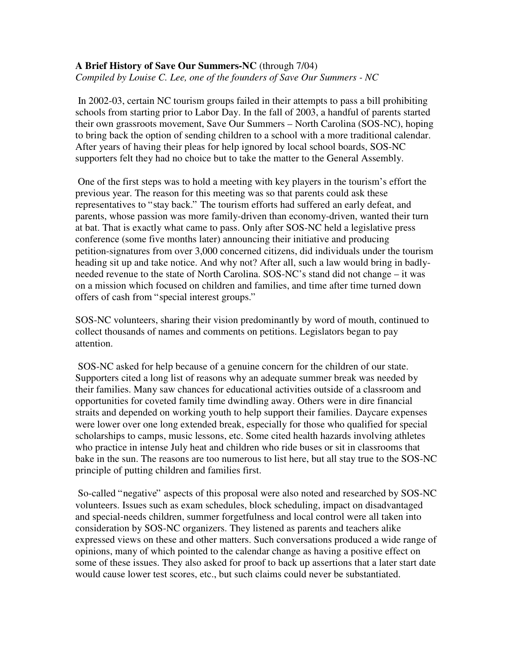## **A Brief History of Save Our Summers-NC** (through 7/04) *Compiled by Louise C. Lee, one of the founders of Save Our Summers - NC*

 In 2002-03, certain NC tourism groups failed in their attempts to pass a bill prohibiting schools from starting prior to Labor Day. In the fall of 2003, a handful of parents started their own grassroots movement, Save Our Summers – North Carolina (SOS-NC), hoping to bring back the option of sending children to a school with a more traditional calendar. After years of having their pleas for help ignored by local school boards, SOS-NC supporters felt they had no choice but to take the matter to the General Assembly.

 One of the first steps was to hold a meeting with key players in the tourism's effort the previous year. The reason for this meeting was so that parents could ask these representatives to "stay back." The tourism efforts had suffered an early defeat, and parents, whose passion was more family-driven than economy-driven, wanted their turn at bat. That is exactly what came to pass. Only after SOS-NC held a legislative press conference (some five months later) announcing their initiative and producing petition-signatures from over 3,000 concerned citizens, did individuals under the tourism heading sit up and take notice. And why not? After all, such a law would bring in badlyneeded revenue to the state of North Carolina. SOS-NC's stand did not change – it was on a mission which focused on children and families, and time after time turned down offers of cash from "special interest groups."

SOS-NC volunteers, sharing their vision predominantly by word of mouth, continued to collect thousands of names and comments on petitions. Legislators began to pay attention.

 SOS-NC asked for help because of a genuine concern for the children of our state. Supporters cited a long list of reasons why an adequate summer break was needed by their families. Many saw chances for educational activities outside of a classroom and opportunities for coveted family time dwindling away. Others were in dire financial straits and depended on working youth to help support their families. Daycare expenses were lower over one long extended break, especially for those who qualified for special scholarships to camps, music lessons, etc. Some cited health hazards involving athletes who practice in intense July heat and children who ride buses or sit in classrooms that bake in the sun. The reasons are too numerous to list here, but all stay true to the SOS-NC principle of putting children and families first.

 So-called "negative" aspects of this proposal were also noted and researched by SOS-NC volunteers. Issues such as exam schedules, block scheduling, impact on disadvantaged and special-needs children, summer forgetfulness and local control were all taken into consideration by SOS-NC organizers. They listened as parents and teachers alike expressed views on these and other matters. Such conversations produced a wide range of opinions, many of which pointed to the calendar change as having a positive effect on some of these issues. They also asked for proof to back up assertions that a later start date would cause lower test scores, etc., but such claims could never be substantiated.